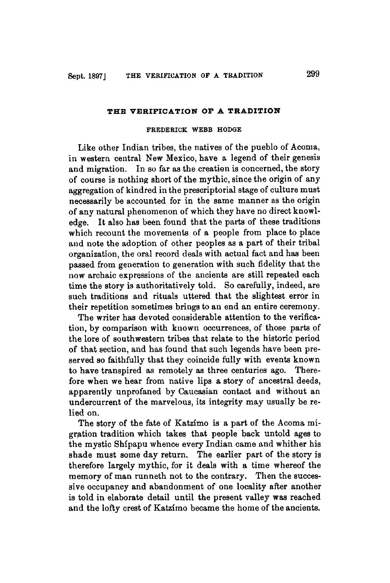## **THB VBRIFICATION OF A TRADITION**

## **FREDERICK WEBB HODGE**

Like other Indian tribes, the natives of the pueblo of Acoma, in western central New Mexico, have a legend of their genesis and migration. In so far as the creation is concerned, the story of course is nothing short of the mythic, since the origin of any aggregation of kindred in the prescriptorial stage of culture must necessarily be accounted for in the same manner as the origin of any natural phenomenon of which they have no direct knowledge. It also has been found that the parts of these traditions which recount the movements of a people from place to place and note the adoption of other peoples as a part of their tribal organization, the oral record deals with actual fact and has been passed from generation to generation with such fidelity that the now archaic expressions of the ancients are still repeated each time the story is authoritatively told. So carefully, indeed, are such traditions and rituals uttered that the slightest error in their repetition sometimes brings to an end an entire ceremony.

The writer has devoted considerable attention to the verification, by comparison with known occurrences, of those parts of the lore of southwestern tribes that relate to the historic period of that section, and has found that such legends have been preserved so faithfully that they coincide fully with events known to have transpired as remotely as three centuries ago. Therefore when we hear from native lips a story of ancestral deeds, apparently unprofaned by Caucasian contact and without an undercurrent of the marvelous, its integrity may usually be relied on.

The story of the fate of Katzfmo is a part of the Acoma migration tradition which takes that people back untold ages to the mystic Shipapu whence every Indian came and whither his shade must some day return. The earlier part of the story is therefore largely mythic, for it deals with a time whereof the memory of man runneth not to the contrary. Then the successive occupancy and abandonment of one locality after another is told in elaborate detail until the present valley was reached and the lofty crest of Katzfmo became the home of the ancients.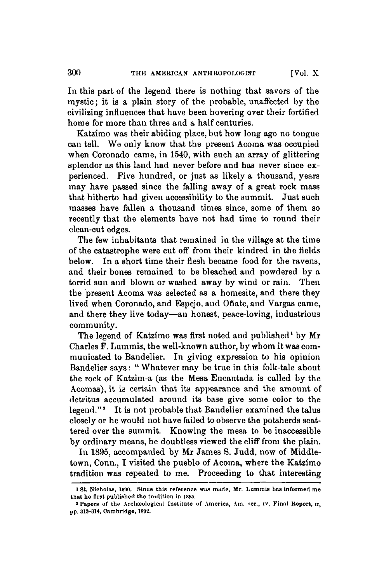**In** this part of the legend there is nothing that savors of the mystic; it is a plain story of the probable, unaffected by the civilizing influences that have been hovering over their fortified home for more than three and a half centuries.

Katzimo was their abiding place, but how long ago no tongue can tell. We only know that the present Acoma was occupied when Coronado came, in **1540,** with such an array of glittering splendor **as** this land had never before and has never since experienced. Five hundred, or just **as** likely a thousand, years inay have passed since the falling away of a great rock **mass**  that hitherto had given accessibility to the summit. Just such masses have fallen a thousand times since, some of them so recently that the elements have not had time to round their clean-cut edges.

The few inhabitants that remained in the village at the time of the catastrophe were cut **off** from their kindred in the fields below. In a short time their flesh became food for the ravens, and their bones remained to be bleached and powdered **by** a torrid sun and blown or washed away by wind or rain. Then the present Acoma was selected as a homesite, and there they lived when Coronado, and Espejo, and Oñate, and Vargas came, and there they live today-an honest, peace-loving, industrious community.

The legend of Katzimo waa first noted and puhlished' by Mr Charles F. Lummis, the well-known author, by whom it was communicated to Bandelier. In giving expression to his opinion Bandelier says : " Whatever may be true in this folk-tale about the rock of Katzim-a (as the Mesa Encantada is called by the Acomas), it is certain that its appearance and the amount of detritus accumulated around its base give some color to the legend."<sup>\*</sup> It is not probable that Bandelier examined the talus closely or he would not have failed to observe the potsherds scattered over the summit. Knowing the mesa to be inaccessible by ordinary means, he doubtless viewed the cliff from the plain.

In 1895, accompanied by Mr James S. Judd, now of Middletown, Conn., I visited the pueblo of Acoma, where the Katzimo tradition mas repeated to me. Proceeding to that interesting

**<sup>1</sup>St. Nicholw, 1W. Since thin reference WIW mndo. Mr. Lumlnia tina informed me**  that he first published the tradition in 1885.

<sup>1</sup> Papers of the Archæological Institute of America, Am. ser.,  $\mathbf{I}v$ , Final Report,  $\mathbf{I}t$ , **pp. 313-314, Cambridge, 1892.**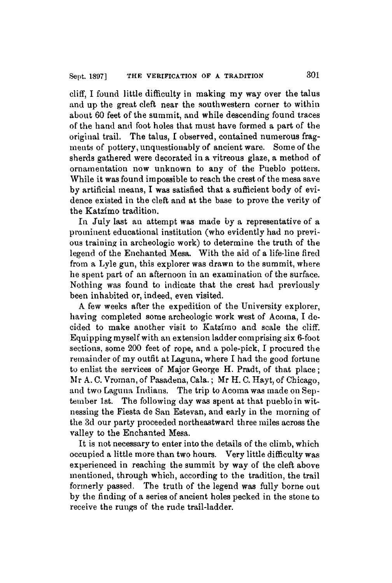cliff, I found little difficulty in making my way over the talus and up the great cleft near the southwestern corner to within about 60 feet of the summit, and while descending found traces of the hand and foot holes that must have formed a part of the original trail. The talus, I observed, contained numerous fragments of pottery, unquestionably of ancient ware. Some of the sherds gathered were decorated in a vitreous glaze, a method of ornamentation now unknown to any of the Pueblo potters. While it was found impossible to reach the crest of the mesa save by artificial means, I was satisfied that a sufficient body of evidence existed in the cleft and at the base to prove the verity of the Katzfmo tradition.

In July Iast an attempt was made by a representative of a prominent educational institution (who evidently had no previous training in archeologic work) to determine the truth of the legend of the Enchanted Mesa. With the aid of a life-line fired from a Lyle gun, this explorer was drawn to the summit, where he spent part of an afternoon **in an** examination of the surface. Nothing was found to indicate that the crest had previously been inhabited or, indeed, even visited.

**A** few weeks after the expedition of the University explorer, having completed some archeologic work west of Acoma, I decided to make another visit to Kstzfrno and scale the cliff. Equipping myself with an extension ladder comprising six 6-foot sections, some **200** feet of rope, and a pole-pick, I procured the remainder of my outfit at Laguna, where I had the good fortune to enlist the services of Major George **H.** Pradt, of that place ; JIr **A.** *C.* Vroinan, of Pwadena, Cala. ; Mr **H.** C. Hayt, of Chicago, **and** two Laguna Indians. The trip to Acoma was inade **011** September 1st. The following day was spent at that pueblo in witnessing the Fiesta de San Estevan, and early in the morning of the 3d our party proceeded northeastward three miles across the valley to the Enchanted Mesa.

It is not necessary to enter into the details of the climb, which occupied a little more than two hours. Very little difficulty was experienced in reaching the summit by way of the cleft above mentioned, through which, according to the tradition, the trail formerly passed. The truth of the legend was fully borne out by the finding of a series of ancient holes pecked in the stone to receive the rungs of the rude trail-ladder.